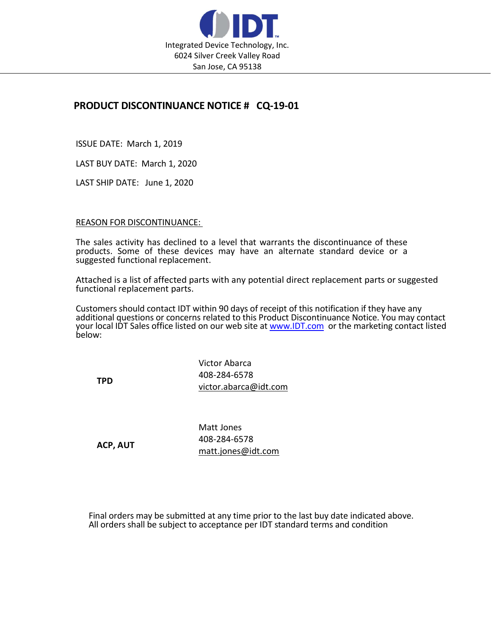

## PRODUCT DISCONTINUANCE NOTICE # CQ-19-01

ISSUE DATE: March 1, 2019

LAST BUY DATE: March 1, 2020

LAST SHIP DATE: June 1, 2020

## REASON FOR DISCONTINUANCE:

The sales activity has declined to a level that warrants the discontinuance of these products. Some of these devices may have an alternate standard device or a suggested functional replacement.

Attached is a list of affected parts with any potential direct replacement parts or suggested functional replacement parts.

Customers should contact IDT within 90 days of receipt of this notification if they have any additional questions or concerns related to this Product Discontinuance Notice. You may contact your local IDT Sales office listed on our web site at www.IDT.com or the marketing contact listed below:

TPD

Victor Abarca 408-284-6578 victor.abarca@idt.com

ACP, AUT

Matt Jones 408-284-6578 matt.jones@idt.com

Final orders may be submitted at any time prior to the last buy date indicated above. All orders shall be subject to acceptance per IDT standard terms and condition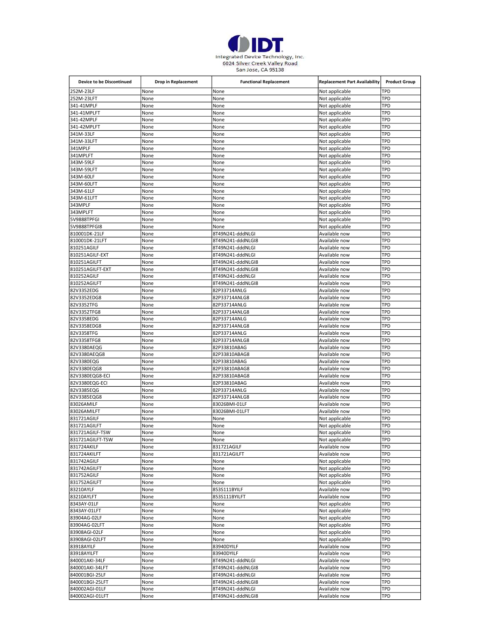

| Device to be Discontinued         | <b>Drop in Replacement</b> | <b>Functional Replacement</b>         | <b>Replacement Part Availability</b> | <b>Product Group</b> |
|-----------------------------------|----------------------------|---------------------------------------|--------------------------------------|----------------------|
| 252M-23LF                         | None                       | None                                  | Not applicable                       | TPD                  |
| 252M-23LFT                        | None                       | None                                  | Not applicable                       | TPD                  |
| 341-41MPLF                        | None                       | None                                  | Not applicable                       | TPD                  |
| 341-41MPLFT                       | None                       | None                                  | Not applicable                       | TPD                  |
| 341-42MPLF<br>341-42MPLFT         | None<br>None               | None<br>None                          | Not applicable<br>Not applicable     | TPD<br>TPD           |
| 341M-33LF                         | None                       | None                                  | Not applicable                       | TPD                  |
| 341M-33LFT                        | None                       | None                                  | Not applicable                       | TPD                  |
| 341MPLF                           | None                       | None                                  | Not applicable                       | TPD                  |
| 341MPLFT                          | None                       | None                                  | Not applicable                       | TPD                  |
| 343M-59LF                         | None                       | None                                  | Not applicable                       | TPD                  |
| 343M-59LFT                        | None                       | None                                  | Not applicable                       | TPD                  |
| 343M-60LF                         | None                       | None                                  | Not applicable                       | TPD                  |
| 343M-60LFT                        | None                       | None                                  | Not applicable                       | TPD                  |
| 343M-61LF                         | None                       | None                                  | Not applicable                       | TPD                  |
| 343M-61LFT                        | None                       | None                                  | Not applicable                       | TPD                  |
| 343MPLF                           | None                       | None                                  | Not applicable                       | TPD                  |
| 343MPLFT<br>5V9888TPFGI           | None<br>None               | None<br>None                          | Not applicable<br>Not applicable     | TPD<br>TPD           |
| 5V9888TPFGI8                      | None                       | None                                  | Not applicable                       | TPD                  |
| 810001DK-21LF                     | None                       | 8T49N241-dddNLGI                      | Available now                        | TPD                  |
| 810001DK-21LFT                    | None                       | 8T49N241-dddNLGI8                     | Available now                        | TPD                  |
| 810251AGILF                       | None                       | 8T49N241-dddNLGI                      | Available now                        | TPD                  |
| 810251AGILF-EXT                   | None                       | 8T49N241-dddNLGI                      | Available now                        | TPD                  |
| 810251AGILFT                      | None                       | 8T49N241-dddNLGI8                     | Available now                        | TPD                  |
| 810251AGILFT-EXT                  | None                       | 8T49N241-dddNLGI8                     | Available now                        | TPD                  |
| 810252AGILF                       | None                       | 8T49N241-dddNLGI                      | Available now                        | TPD                  |
| 810252AGILFT                      | None                       | 8T49N241-dddNLGI8                     | Available now                        | TPD                  |
| 82V3352EDG                        | None                       | 82P33714ANLG                          | Available now                        | TPD                  |
| 82V3352EDG8                       | None                       | 82P33714ANLG8                         | Available now                        | TPD                  |
| 82V3352TFG                        | None                       | 82P33714ANLG                          | Available now                        | TPD<br>TPD           |
| 82V3352TFG8<br>82V3358EDG         | None<br>None               | 82P33714ANLG8<br>82P33714ANLG         | Available now<br>Available now       | TPD                  |
| 82V3358EDG8                       | None                       | 82P33714ANLG8                         | Available now                        | TPD                  |
| 82V3358TFG                        | None                       | 82P33714ANLG                          | Available now                        | TPD                  |
| 82V3358TFG8                       | None                       | 82P33714ANLG8                         | Available now                        | TPD                  |
| 82V3380AEQG                       | None                       | 82P33810ABAG                          | Available now                        | TPD                  |
| 82V3380AEQG8                      | None                       | 82P33810ABAG8                         | Available now                        | TPD                  |
| 82V3380EQG                        | None                       | 82P33810ABAG                          | Available now                        | TPD                  |
| 82V3380EQG8                       | None                       | 82P33810ABAG8                         | Available now                        | TPD                  |
| 82V3380EQG8-ECI                   | None                       | 82P33810ABAG8                         | Available now                        | TPD                  |
| 82V3380EQG-ECI                    | None                       | 82P33810ABAG                          | Available now                        | TPD                  |
| 82V3385EQG                        | None<br>None               | 82P33714ANLG<br>82P33714ANLG8         | Available now<br>Available now       | TPD<br>TPD           |
| 82V3385EQG8<br>83026AMILF         | None                       | 83026BMI-01LF                         | Available now                        | TPD                  |
| 83026AMILFT                       | None                       | 83026BMI-01LFT                        | Available now                        | TPD                  |
| 831721AGILF                       | None                       | None                                  | Not applicable                       | TPD                  |
| 831721AGILFT                      | None                       | None                                  | Not applicable                       | TPD                  |
| 831721AGILF-TSW                   | None                       | None                                  | Not applicable                       | TPD                  |
| 831721AGILFT-TSW                  | None                       | None                                  | Not applicable                       | TPD                  |
| 831724AKILF                       | None                       | 831721AGILF                           | Available now                        | TPD                  |
| 831724AKILFT                      | None                       | 831721AGILFT                          | Available now                        | TPD                  |
| 831742AGILF                       | None                       | None                                  | Not applicable                       | TPD                  |
| 831742AGILFT                      | None                       | None                                  | Not applicable                       | TPD                  |
| 831752AGILF<br>831752AGILFT       | None                       | None                                  | Not applicable<br>Not applicable     | TPD<br>TPD           |
| 83210AYLF                         | None<br>None               | None<br>853S111BYILF                  | Available now                        | TPD                  |
| 83210AYLFT                        | None                       | 853S111BYILFT                         | Available now                        | TPD                  |
| 8343AY-01LF                       | None                       | None                                  | Not applicable                       | TPD                  |
| 8343AY-01LFT                      | None                       | None                                  | Not applicable                       | TPD                  |
| 83904AG-02LF                      | None                       | None                                  | Not applicable                       | TPD                  |
| 83904AG-02LFT                     | None                       | None                                  | Not applicable                       | TPD                  |
| 83908AGI-02LF                     | None                       | None                                  | Not applicable                       | TPD                  |
| 83908AGI-02LFT                    | None                       | None                                  | Not applicable                       | TPD                  |
| 83918AYILF                        | None                       | 83940DYILF                            | Available now                        | TPD                  |
| 83918AYILFT                       | None                       | 83940DYILF                            | Available now                        | TPD                  |
| 840001AKI-34LF                    | None                       | 8T49N241-dddNLGI                      | Available now                        | TPD                  |
| 840001AKI-34LFT                   | None                       | 8T49N241-dddNLGI8                     | Available now                        | TPD                  |
| 840001BGI-25LF                    | None                       | 8T49N241-dddNLGI                      | Available now                        | TPD                  |
| 840001BGI-25LFT<br>840002AGI-01LF | None<br>None               | 8T49N241-dddNLGI8<br>8T49N241-dddNLGI | Available now<br>Available now       | TPD<br>TPD           |
| 840002AGI-01LFT                   | None                       | 8T49N241-dddNLGI8                     | Available now                        | <b>TPD</b>           |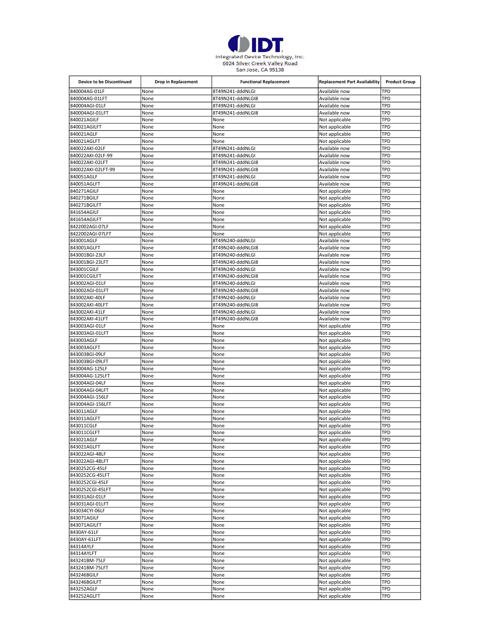

| Device to be Discontinued      | <b>Drop in Replacement</b> | <b>Functional Replacement</b> | <b>Replacement Part Availability</b> | <b>Product Group</b> |
|--------------------------------|----------------------------|-------------------------------|--------------------------------------|----------------------|
| 840004AG-01LF                  | None                       | 8T49N241-dddNLGI              | Available now                        | TPD                  |
| 840004AG-01LFT                 | None                       | 8T49N241-dddNLGI8             | Available now                        | TPD                  |
| 840004AGI-01LF                 | None                       | 8T49N241-dddNLGI              | Available now                        | TPD                  |
| 840004AGI-01LFT                | None                       | 8T49N241-dddNLGI8             | Available now                        | TPD                  |
| 840021AGILF                    | None                       | None                          | Not applicable                       | TPD                  |
| 840021AGILFT                   | None                       | None                          | Not applicable                       | TPD                  |
| 840021AGLF                     | None                       | None<br>None                  | Not applicable                       | TPD<br>TPD           |
| 840021AGLFT<br>840022AKI-02LF  | None<br>None               | 8T49N241-dddNLGI              | Not applicable<br>Available now      | TPD                  |
| 840022AKI-02LF-99              | None                       | 8T49N241-dddNLGI              | Available now                        | TPD                  |
| 840022AKI-02LFT                | None                       | 8T49N241-dddNLGI8             | Available now                        | TPD                  |
| 840022AKI-02LFT-99             | None                       | 8T49N241-dddNLGI8             | Available now                        | TPD                  |
| 840051AGLF                     | None                       | 8T49N241-dddNLGI              | Available now                        | TPD                  |
| 840051AGLFT                    | None                       | 8T49N241-dddNLGI8             | Available now                        | TPD                  |
| 840271AGILF                    | None                       | None                          | Not applicable                       | TPD                  |
| 840271BGILF                    | None                       | None                          | Not applicable                       | TPD                  |
| 840271BGILFT                   | None                       | None                          | Not applicable                       | TPD                  |
| 841654AGILF                    | None                       | None                          | Not applicable                       | TPD                  |
| 841654AGILFT                   | None                       | None                          | Not applicable                       | TPD                  |
| 8422002AGI-07LF                | None                       | None                          | Not applicable                       | TPD                  |
| 8422002AGI-07LFT<br>843001AGLF | None<br>None               | None<br>8T49N240-dddNLGI      | Not applicable<br>Available now      | TPD<br>TPD           |
| 843001AGLFT                    |                            | 8T49N240-dddNLGI8             |                                      | TPD                  |
| 843001BGI-23LF                 | None<br>None               | 8T49N240-dddNLGI              | Available now<br>Available now       | TPD                  |
| 843001BGI-23LFT                | None                       | 8T49N240-dddNLGI8             | Available now                        | TPD                  |
| 843001CGILF                    | None                       | 8T49N240-dddNLGI              | Available now                        | TPD                  |
| 843001CGILFT                   | None                       | 8T49N240-dddNLGI8             | Available now                        | TPD                  |
| 843002AGI-01LF                 | None                       | 8T49N240-dddNLGI              | Available now                        | TPD                  |
| 843002AGI-01LFT                | None                       | 8T49N240-dddNLGI8             | Available now                        | TPD                  |
| 843002AKI-40LF                 | None                       | 8T49N240-dddNLGI              | Available now                        | TPD                  |
| 843002AKI-40LFT                | None                       | 8T49N240-dddNLGI8             | Available now                        | TPD                  |
| 843002AKI-41LF                 | None                       | 8T49N240-dddNLGI              | Available now                        | TPD                  |
| 843002AKI-41LFT                | None                       | 8T49N240-dddNLGI8             | Available now                        | TPD                  |
| 843003AGI-01LF                 | None                       | None                          | Not applicable                       | TPD                  |
| 843003AGI-01LFT                | None                       | None                          | Not applicable                       | TPD                  |
| 843003AGLF                     | None                       | None                          | Not applicable                       | TPD<br>TPD           |
| 843003AGLFT<br>843003BGI-09LF  | None<br>None               | None<br>None                  | Not applicable<br>Not applicable     | TPD                  |
| 843003BGI-09LFT                | None                       | None                          | Not applicable                       | TPD                  |
| 843004AG-125LF                 | None                       | None                          | Not applicable                       | TPD                  |
| 843004AG-125LFT                | None                       | None                          | Not applicable                       | TPD                  |
| 843004AGI-04LF                 | None                       | None                          | Not applicable                       | TPD                  |
| 843004AGI-04LFT                | None                       | None                          | Not applicable                       | TPD                  |
| 843004AGI-156LF                | None                       | None                          | Not applicable                       | TPD                  |
| 843004AGI-156LFT               | None                       | None                          | Not applicable                       | TPD                  |
| 843011AGLF                     | None                       | None                          | Not applicable                       | TPD                  |
| 843011AGLFT                    | None                       | None                          | Not applicable                       | TPD                  |
| 843011CGLF                     | None                       | None                          | Not applicable                       | TPD                  |
| 843011CGLFT                    | None                       | None                          | Not applicable                       | TPD                  |
| 843021AGLF                     | None                       | None                          | Not applicable                       | TPD                  |
| 843021AGLFT<br>843022AGI-48LF  | None<br>None               | None<br>None                  | Not applicable<br>Not applicable     | TPD<br>TPD           |
| 843022AGI-48LFT                | None                       | None                          | Not applicable                       | TPD                  |
| 8430252CG-45LF                 | None                       | None                          | Not applicable                       | TPD                  |
| 8430252CG-45LFT                | None                       | None                          | Not applicable                       | TPD                  |
| 8430252CGI-45LF                | None                       | None                          | Not applicable                       | TPD                  |
| 8430252CGI-45LFT               | None                       | None                          | Not applicable                       | TPD                  |
| 843031AGI-01LF                 | None                       | None                          | Not applicable                       | TPD                  |
| 843031AGI-01LFT                | None                       | None                          | Not applicable                       | TPD                  |
| 843034CYI-06LF                 | None                       | None                          | Not applicable                       | TPD                  |
| 843071AGILF                    | None                       | None                          | Not applicable                       | TPD                  |
| 843071AGILFT                   | None                       | None                          | Not applicable                       | TPD                  |
| 8430AY-61LF                    | None                       | None                          | Not applicable                       | TPD                  |
| 8430AY-61LFT                   | None                       | None                          | Not applicable                       | TPD                  |
| 84314AYLF                      | None                       | None                          | Not applicable                       | TPD                  |
| 84314AYLFT                     | None                       | None                          | Not applicable                       | TPD                  |
| 843241BM-75LF                  | None                       | None                          | Not applicable                       | TPD                  |
| 843241BM-75LFT                 | None                       | None                          | Not applicable                       | TPD<br>TPD           |
| 843246BGILF<br>843246BGILFT    | None<br>None               | None<br>None                  | Not applicable<br>Not applicable     | TPD                  |
| 843252AGLF                     | None                       | None                          | Not applicable                       | TPD                  |
| 843252AGLFT                    | None                       | None                          | Not applicable                       | TPD                  |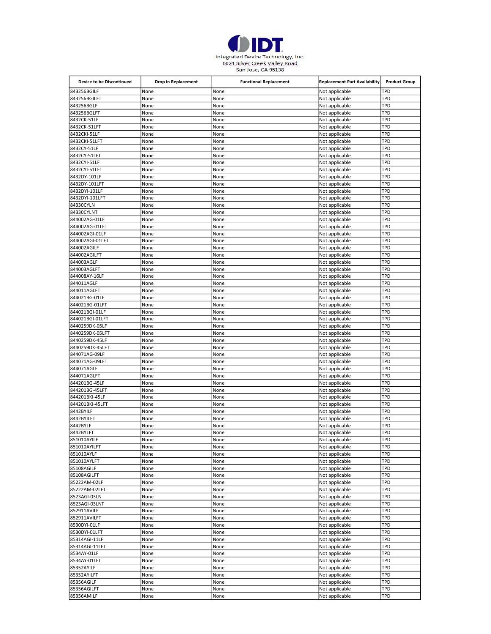

| Device to be Discontinued     | Drop in Replacement | <b>Functional Replacement</b> | <b>Replacement Part Availability</b> | <b>Product Group</b> |
|-------------------------------|---------------------|-------------------------------|--------------------------------------|----------------------|
| 843256BGILF                   | None                | None                          | Not applicable                       | TPD                  |
| 843256BGILFT                  | None                | None                          | Not applicable                       | TPD                  |
| 843256BGLF                    | None                | None                          | Not applicable                       | TPD                  |
| 843256BGLFT                   | None                | None                          | Not applicable                       | TPD                  |
| 8432CK-51LF                   | None                | None                          | Not applicable                       | TPD                  |
| 8432CK-51LFT                  | None                | None                          | Not applicable                       | TPD                  |
| 8432CKI-51LF                  | None                | None                          | Not applicable                       | TPD                  |
| 8432CKI-51LFT<br>8432CY-51LF  | None<br>None        | None<br>None                  | Not applicable<br>Not applicable     | TPD<br>TPD           |
| 8432CY-51LFT                  | None                | None                          | Not applicable                       | TPD                  |
| 8432CYI-51LF                  | None                | None                          | Not applicable                       | TPD                  |
| 8432CYI-51LFT                 | None                | None                          | Not applicable                       | TPD                  |
| 8432DY-101LF                  | None                | None                          | Not applicable                       | TPD                  |
| 8432DY-101LFT                 | None                | None                          | Not applicable                       | TPD                  |
| 8432DYI-101LF                 | None                | None                          | Not applicable                       | TPD                  |
| 8432DYI-101LFT                | None                | None                          | Not applicable                       | TPD                  |
| 84330CYLN                     | None                | None                          | Not applicable                       | TPD                  |
| 84330CYLNT                    | None                | None                          | Not applicable                       | TPD                  |
| 844002AG-01LF                 | None                | None                          | Not applicable                       | TPD                  |
| 844002AG-01LFT                | None                | None                          | Not applicable                       | TPD                  |
| 844002AGI-01LF                | None                | None                          | Not applicable                       | TPD                  |
| 844002AGI-01LFT               | None                | None                          | Not applicable                       | TPD                  |
| 844002AGILF                   | None                | None                          | Not applicable                       | TPD                  |
| 844002AGILFT                  | None                | None                          | Not applicable                       | TPD                  |
| 844003AGLF                    | None                | None                          | Not applicable                       | TPD                  |
| 844003AGLFT<br>844008AY-16LF  | None                | None                          | Not applicable                       | TPD<br>TPD           |
|                               | None<br>None        | None                          | Not applicable<br>Not applicable     | TPD                  |
| 844011AGLF<br>844011AGLFT     | None                | None<br>None                  | Not applicable                       | TPD                  |
| 844021BG-01LF                 | None                | None                          | Not applicable                       | TPD                  |
| 844021BG-01LFT                | None                | None                          | Not applicable                       | TPD                  |
| 844021BGI-01LF                | None                | None                          | Not applicable                       | TPD                  |
| 844021BGI-01LFT               | None                | None                          | Not applicable                       | TPD                  |
| 8440259DK-05LF                | None                | None                          | Not applicable                       | TPD                  |
| 8440259DK-05LFT               | None                | None                          | Not applicable                       | TPD                  |
| 8440259DK-45LF                | None                | None                          | Not applicable                       | TPD                  |
| 8440259DK-45LFT               | None                | None                          | Not applicable                       | TPD                  |
| 844071AG-09LF                 | None                | None                          | Not applicable                       | TPD                  |
| 844071AG-09LFT                | None                | None                          | Not applicable                       | TPD                  |
| 844071AGLF                    | None                | None                          | Not applicable                       | TPD                  |
| 844071AGLFT                   | None                | None                          | Not applicable                       | TPD                  |
| 844201BG-45LF                 | None                | None                          | Not applicable                       | TPD                  |
| 844201BG-45LFT                | None                | None                          | Not applicable                       | TPD                  |
| 844201BKI-45LF                | None                | None                          | Not applicable                       | TPD                  |
| 844201BKI-45LFT<br>8442BYILF  | None<br>None        | None<br>None                  | Not applicable<br>Not applicable     | TPD<br>TPD           |
| 8442BYILFT                    | None                | None                          | Not applicable                       | TPD                  |
| 8442BYLF                      | None                | None                          | Not applicable                       | TPD                  |
| 8442BYLFT                     | None                | None                          | Not applicable                       | TPD                  |
| 851010AYILF                   | None                | None                          | Not applicable                       | TPD                  |
| 851010AYILFT                  | None                | None                          | Not applicable                       | TPD                  |
| 851010AYLF                    | None                | None                          | Not applicable                       | TPD                  |
| 851010AYLFT                   | None                | None                          | Not applicable                       | TPD                  |
| 85108AGILF                    | None                | None                          | Not applicable                       | TPD                  |
| 85108AGILFT                   | None                | None                          | Not applicable                       | TPD                  |
| 85222AM-02LF                  | None                | None                          | Not applicable                       | TPD                  |
| 85222AM-02LFT                 | None                | None                          | Not applicable                       | TPD                  |
| 8523AGI-03LN                  | None                | None                          | Not applicable                       | TPD                  |
| 8523AGI-03LNT                 | None                | None                          | Not applicable                       | TPD                  |
| 852911AVILF                   | None                | None                          | Not applicable                       | TPD                  |
| 852911AVILFT                  | None                | None                          | Not applicable<br>Not applicable     | TPD                  |
| 8530DYI-01LF<br>8530DYI-01LFT | None<br>None        | None<br>None                  | Not applicable                       | TPD<br>TPD           |
| 85314AGI-11LF                 | None                | None                          | Not applicable                       | TPD                  |
| 85314AGI-11LFT                | None                | None                          | Not applicable                       | TPD                  |
| 8534AY-01LF                   | None                | None                          | Not applicable                       | TPD                  |
| 8534AY-01LFT                  | None                | None                          | Not applicable                       | TPD                  |
| 85352AYILF                    | None                | None                          | Not applicable                       | TPD                  |
| 85352AYILFT                   | None                | None                          | Not applicable                       | TPD                  |
| 85356AGILF                    | None                | None                          | Not applicable                       | TPD                  |
| 85356AGILFT                   | None                | None                          | Not applicable                       | TPD                  |
| 85356AMILF                    | None                | None                          | Not applicable                       | TPD                  |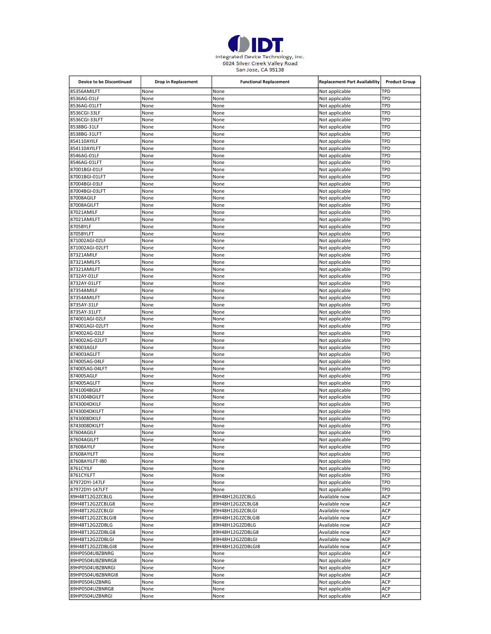

| <b>Device to be Discontinued</b>     | <b>Drop in Replacement</b> | <b>Functional Replacement</b> | <b>Replacement Part Availability</b> | <b>Product Group</b> |
|--------------------------------------|----------------------------|-------------------------------|--------------------------------------|----------------------|
| 85356AMILFT                          | None                       | None                          | Not applicable                       | TPD                  |
| 8536AG-01LF                          | None                       | None                          | Not applicable                       | TPD                  |
| 8536AG-01LFT                         | None                       | None                          | Not applicable                       | TPD                  |
| 8536CGI-33LF                         | None                       | None                          | Not applicable                       | TPD                  |
| 8536CGI-33LFT                        | None                       | None                          | Not applicable                       | TPD                  |
| 8538BG-31LF                          | None                       | None                          | Not applicable                       | TPD                  |
| 8538BG-31LFT                         | None                       | None                          | Not applicable                       | TPD<br>TPD           |
| 854110AYILF<br>854110AYILFT          | None<br>None               | None<br>None                  | Not applicable                       | TPD                  |
| 8546AG-01LF                          | None                       | None                          | Not applicable<br>Not applicable     | TPD                  |
| 8546AG-01LFT                         | None                       | None                          | Not applicable                       | TPD                  |
| 87001BGI-01LF                        | None                       | None                          | Not applicable                       | TPD                  |
| 87001BGI-01LFT                       | None                       | None                          | Not applicable                       | TPD                  |
| 87004BGI-03LF                        | None                       | None                          | Not applicable                       | TPD                  |
| 87004BGI-03LFT                       | None                       | None                          | Not applicable                       | <b>TPD</b>           |
| 87008AGILF                           | None                       | None                          | Not applicable                       | TPD                  |
| 87008AGILFT                          | None                       | None                          | Not applicable                       | TPD                  |
| 87021AMILF                           | None                       | None                          | Not applicable                       | <b>TPD</b>           |
| 87021AMILFT                          | None                       | None                          | Not applicable                       | TPD                  |
| 8705BYLF                             | None                       | None                          | Not applicable                       | TPD                  |
| 8705BYLFT                            | None                       | None                          | Not applicable                       | TPD                  |
| 871002AGI-02LF                       | None                       | None                          | Not applicable                       | TPD                  |
| 871002AGI-02LFT                      | None                       | None                          | Not applicable                       | TPD                  |
| 87321AMILF                           | None                       | None                          | Not applicable                       | TPD                  |
| 87321AMILF5                          | None                       | None                          | Not applicable                       | TPD                  |
| 87321AMILFT                          | None                       | None                          | Not applicable                       | TPD                  |
| 8732AY-01LF<br>8732AY-01LFT          | None<br>None               | None                          | Not applicable                       | TPD<br>TPD           |
| 87354AMILF                           | None                       | None<br>None                  | Not applicable<br>Not applicable     | TPD                  |
| 87354AMILFT                          | None                       | None                          | Not applicable                       | TPD                  |
| 8735AY-31LF                          | None                       | None                          | Not applicable                       | TPD                  |
| 8735AY-31LFT                         | None                       | None                          | Not applicable                       | TPD                  |
| 874001AGI-02LF                       | None                       | None                          | Not applicable                       | TPD                  |
| 874001AGI-02LFT                      | None                       | None                          | Not applicable                       | TPD                  |
| 874002AG-02LF                        | None                       | None                          | Not applicable                       | TPD                  |
| 874002AG-02LFT                       | None                       | None                          | Not applicable                       | TPD                  |
| 874003AGLF                           | None                       | None                          | Not applicable                       | <b>TPD</b>           |
| 874003AGLFT                          | None                       | None                          | Not applicable                       | TPD                  |
| 874005AG-04LF                        | None                       | None                          | Not applicable                       | TPD                  |
| 874005AG-04LFT                       | None                       | None                          | Not applicable                       | TPD                  |
| 874005AGLF                           | None                       | None                          | Not applicable                       | <b>TPD</b>           |
| 874005AGLFT                          | None                       | None                          | Not applicable                       | TPD                  |
| 8741004BGILF                         | None                       | None                          | Not applicable                       | <b>TPD</b>           |
| 8741004BGILFT                        | None                       | None                          | Not applicable                       | TPD                  |
| 8743004DKILF                         | None                       | None                          | Not applicable                       | <b>TPD</b>           |
| 8743004DKILFT                        | None                       | None                          | Not applicable                       | TPD                  |
| 8743008DKILF                         | None                       | None                          | Not applicable                       | TPD                  |
| 8743008DKILFT<br>87604AGILF          | None                       | None                          | Not applicable                       | TPD<br><b>TPD</b>    |
| 87604AGILFT                          | None<br>None               | None<br>None                  | Not applicable<br>Not applicable     | <b>TPD</b>           |
| 87608AYILF                           | None                       | None                          | Not applicable                       | <b>TPD</b>           |
| 87608AYILFT                          | None                       | None                          | Not applicable                       | <b>TPD</b>           |
| 87608AYILFT-IB0                      | None                       | None                          | Not applicable                       | <b>TPD</b>           |
| 8761CYILF                            | None                       | None                          | Not applicable                       | <b>TPD</b>           |
| 8761CYILFT                           | None                       | None                          | Not applicable                       | <b>TPD</b>           |
| 87972DYI-147LF                       | None                       | None                          | Not applicable                       | TPD                  |
| 87972DYI-147LFT                      | None                       | None                          | Not applicable                       | TPD                  |
| 89H48T12G2ZCBLG                      | None                       | 89H48H12G2ZCBLG               | Available now                        | <b>ACP</b>           |
| 89H48T12G2ZCBLG8                     | None                       | 89H48H12G2ZCBLG8              | Available now                        | <b>ACP</b>           |
| 89H48T12G2ZCBLGI                     | None                       | 89H48H12G2ZCBLGI              | Available now                        | <b>ACP</b>           |
| 89H48T12G2ZCBLGI8                    | None                       | 89H48H12G2ZCBLGI8             | Available now                        | <b>ACP</b>           |
| 89H48T12G2ZDBLG                      | None                       | 89H48H12G2ZDBLG               | Available now                        | ACP                  |
| 89H48T12G2ZDBLG8                     | None                       | 89H48H12G2ZDBLG8              | Available now                        | <b>ACP</b>           |
| 89H48T12G2ZDBLGI                     | None                       | 89H48H12G2ZDBLGI              | Available now                        | ACP                  |
| 89H48T12G2ZDBLGI8                    | None                       | 89H48H12G2ZDBLGI8             | Available now                        | <b>ACP</b>           |
| 89HP0504UBZBNRG                      | None                       | None                          | Not applicable                       | <b>ACP</b><br>ACP    |
| 89HP0504UBZBNRG8<br>89HP0504UBZBNRGI | None<br>None               | None<br>None                  | Not applicable<br>Not applicable     | ACP                  |
| 89HP0504UBZBNRGI8                    | None                       | None                          | Not applicable                       | ACP                  |
| 89HP0504UZBNRG                       | None                       | None                          | Not applicable                       | ACP                  |
| 89HP0504UZBNRG8                      | None                       | None                          | Not applicable                       | ACP                  |
| 89HP0504UZBNRGI                      | None                       | None                          | Not applicable                       | <b>ACP</b>           |